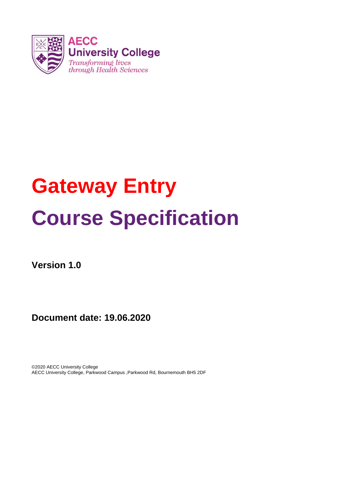

# **Gateway Entry Course Specification**

**Version 1.0**

**Document date: 19.06.2020**

©2020 AECC University College AECC University College, Parkwood Campus ,Parkwood Rd, Bournemouth BH5 2DF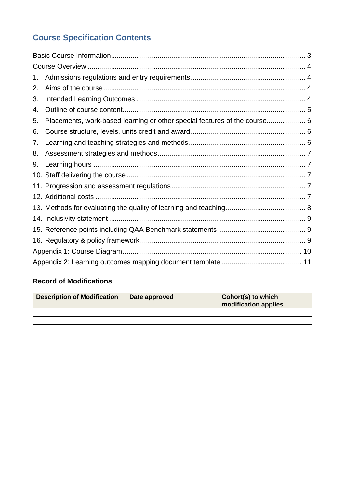# **Course Specification Contents**

| 1. |                                                                           |  |  |  |  |  |  |  |
|----|---------------------------------------------------------------------------|--|--|--|--|--|--|--|
| 2. |                                                                           |  |  |  |  |  |  |  |
| 3. |                                                                           |  |  |  |  |  |  |  |
| 4. |                                                                           |  |  |  |  |  |  |  |
| 5. | Placements, work-based learning or other special features of the course 6 |  |  |  |  |  |  |  |
| 6. |                                                                           |  |  |  |  |  |  |  |
| 7. |                                                                           |  |  |  |  |  |  |  |
| 8. |                                                                           |  |  |  |  |  |  |  |
| 9. |                                                                           |  |  |  |  |  |  |  |
|    |                                                                           |  |  |  |  |  |  |  |
|    |                                                                           |  |  |  |  |  |  |  |
|    |                                                                           |  |  |  |  |  |  |  |
|    |                                                                           |  |  |  |  |  |  |  |
|    |                                                                           |  |  |  |  |  |  |  |
|    |                                                                           |  |  |  |  |  |  |  |
|    |                                                                           |  |  |  |  |  |  |  |
|    |                                                                           |  |  |  |  |  |  |  |
|    |                                                                           |  |  |  |  |  |  |  |

# **Record of Modifications**

| <b>Description of Modification</b> | Date approved | <b>Cohort(s) to which</b><br>modification applies |  |  |  |  |
|------------------------------------|---------------|---------------------------------------------------|--|--|--|--|
|                                    |               |                                                   |  |  |  |  |
|                                    |               |                                                   |  |  |  |  |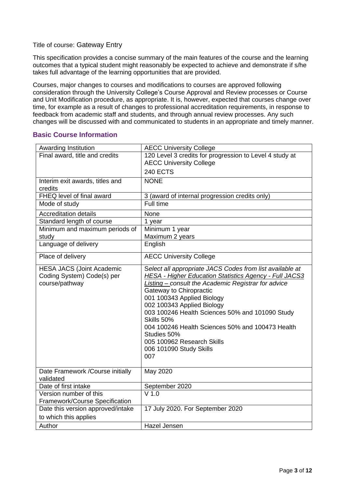#### Title of course: Gateway Entry

This specification provides a concise summary of the main features of the course and the learning outcomes that a typical student might reasonably be expected to achieve and demonstrate if s/he takes full advantage of the learning opportunities that are provided.

Courses, major changes to courses and modifications to courses are approved following consideration through the University College's Course Approval and Review processes or Course and Unit Modification procedure, as appropriate. It is, however, expected that courses change over time, for example as a result of changes to professional accreditation requirements, in response to feedback from academic staff and students, and through annual review processes. Any such changes will be discussed with and communicated to students in an appropriate and timely manner.

#### <span id="page-2-0"></span>**Basic Course Information**

| Awarding Institution              | <b>AECC University College</b>                                |
|-----------------------------------|---------------------------------------------------------------|
| Final award, title and credits    | 120 Level 3 credits for progression to Level 4 study at       |
|                                   | <b>AECC University College</b>                                |
|                                   | <b>240 ECTS</b>                                               |
| Interim exit awards, titles and   | <b>NONE</b>                                                   |
| credits                           |                                                               |
| FHEQ level of final award         | 3 (award of internal progression credits only)                |
| Mode of study                     | Full time                                                     |
| <b>Accreditation details</b>      | None                                                          |
| Standard length of course         | 1 year                                                        |
| Minimum and maximum periods of    | Minimum 1 year                                                |
| study                             | Maximum 2 years                                               |
| Language of delivery              | English                                                       |
| Place of delivery                 | <b>AECC University College</b>                                |
| <b>HESA JACS (Joint Academic</b>  | Select all appropriate JACS Codes from list available at      |
| Coding System) Code(s) per        | <b>HESA - Higher Education Statistics Agency - Full JACS3</b> |
| course/pathway                    | <b>Listing – consult the Academic Registrar for advice</b>    |
|                                   | Gateway to Chiropractic                                       |
|                                   | 001 100343 Applied Biology                                    |
|                                   | 002 100343 Applied Biology                                    |
|                                   | 003 100246 Health Sciences 50% and 101090 Study<br>Skills 50% |
|                                   | 004 100246 Health Sciences 50% and 100473 Health              |
|                                   | Studies 50%                                                   |
|                                   | 005 100962 Research Skills                                    |
|                                   | 006 101090 Study Skills                                       |
|                                   | 007                                                           |
|                                   |                                                               |
| Date Framework /Course initially  | May 2020                                                      |
| validated                         |                                                               |
| Date of first intake              | September 2020                                                |
| Version number of this            | $V$ 1.0                                                       |
| Framework/Course Specification    |                                                               |
| Date this version approved/intake | 17 July 2020. For September 2020                              |
| to which this applies             |                                                               |
| Author                            | Hazel Jensen                                                  |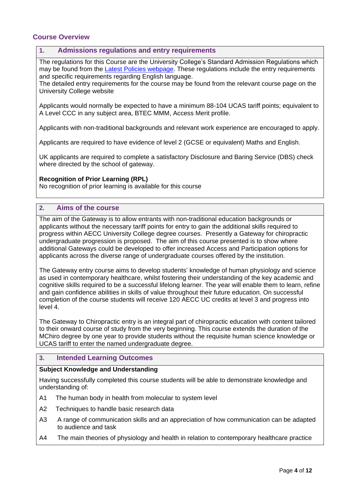#### <span id="page-3-0"></span>**Course Overview**

#### <span id="page-3-1"></span>**1. Admissions regulations and entry requirements**

The regulations for this Course are the University College's Standard Admission Regulations which may be found from the [Latest Policies webpage.](https://www.aecc.ac.uk/about/how-we-work/latest-policies/) These regulations include the entry requirements and specific requirements regarding English language.

The detailed entry requirements for the course may be found from the relevant course page on the University College website

Applicants would normally be expected to have a minimum 88-104 UCAS tariff points; equivalent to A Level CCC in any subject area, BTEC MMM, Access Merit profile.

Applicants with non-traditional backgrounds and relevant work experience are encouraged to apply.

Applicants are required to have evidence of level 2 (GCSE or equivalent) Maths and English.

UK applicants are required to complete a satisfactory Disclosure and Baring Service (DBS) check where directed by the school of gateway.

#### **Recognition of Prior Learning (RPL)**

No recognition of prior learning is available for this course

#### <span id="page-3-2"></span>**2. Aims of the course**

The aim of the Gateway is to allow entrants with non-traditional education backgrounds or applicants without the necessary tariff points for entry to gain the additional skills required to progress within AECC University College degree courses. Presently a Gateway for chiropractic undergraduate progression is proposed. The aim of this course presented is to show where additional Gateways could be developed to offer increased Access and Participation options for applicants across the diverse range of undergraduate courses offered by the institution.

The Gateway entry course aims to develop students' knowledge of human physiology and science as used in contemporary healthcare, whilst fostering their understanding of the key academic and cognitive skills required to be a successful lifelong learner. The year will enable them to learn, refine and gain confidence abilities in skills of value throughout their future education. On successful completion of the course students will receive 120 AECC UC credits at level 3 and progress into level 4.

The Gateway to Chiropractic entry is an integral part of chiropractic education with content tailored to their onward course of study from the very beginning. This course extends the duration of the MChiro degree by one year to provide students without the requisite human science knowledge or UCAS tariff to enter the named undergraduate degree.

#### <span id="page-3-3"></span>**3. Intended Learning Outcomes**

#### **Subject Knowledge and Understanding**

Having successfully completed this course students will be able to demonstrate knowledge and understanding of:

- A1 The human body in health from molecular to system level
- A2 Techniques to handle basic research data
- A3 A range of communication skills and an appreciation of how communication can be adapted to audience and task
- A4 The main theories of physiology and health in relation to contemporary healthcare practice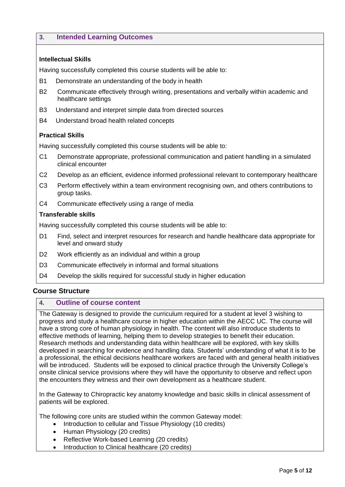#### **3. Intended Learning Outcomes**

#### **Intellectual Skills**

Having successfully completed this course students will be able to:

- B1 Demonstrate an understanding of the body in health
- B2 Communicate effectively through writing, presentations and verbally within academic and healthcare settings
- B3 Understand and interpret simple data from directed sources
- B4 Understand broad health related concepts

#### **Practical Skills**

Having successfully completed this course students will be able to:

- C1 Demonstrate appropriate, professional communication and patient handling in a simulated clinical encounter
- C2 Develop as an efficient, evidence informed professional relevant to contemporary healthcare
- C3 Perform effectively within a team environment recognising own, and others contributions to group tasks.
- C4 Communicate effectively using a range of media

#### **Transferable skills**

Having successfully completed this course students will be able to:

- D1 Find, select and interpret resources for research and handle healthcare data appropriate for level and onward study
- D2 Work efficiently as an individual and within a group
- D<sub>3</sub> Communicate effectively in informal and formal situations
- D4 Develop the skills required for successful study in higher education

#### **Course Structure**

#### <span id="page-4-0"></span>**4. Outline of course content**

The Gateway is designed to provide the curriculum required for a student at level 3 wishing to progress and study a healthcare course in higher education within the AECC UC. The course will have a strong core of human physiology in health. The content will also introduce students to effective methods of learning, helping them to develop strategies to benefit their education. Research methods and understanding data within healthcare will be explored, with key skills developed in searching for evidence and handling data. Students' understanding of what it is to be a professional, the ethical decisions healthcare workers are faced with and general health initiatives will be introduced. Students will be exposed to clinical practice through the University College's onsite clinical service provisions where they will have the opportunity to observe and reflect upon the encounters they witness and their own development as a healthcare student.

In the Gateway to Chiropractic key anatomy knowledge and basic skills in clinical assessment of patients will be explored.

The following core units are studied within the common Gateway model:

- Introduction to cellular and Tissue Physiology (10 credits)
- Human Physiology (20 credits)
- Reflective Work-based Learning (20 credits)
- Introduction to Clinical healthcare (20 credits)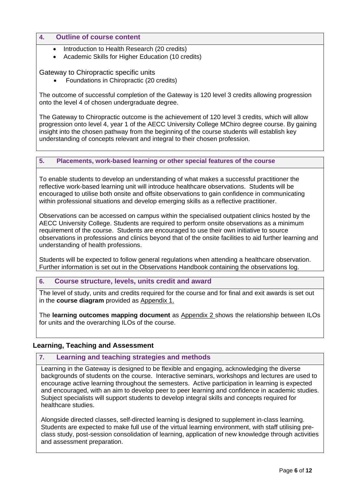#### **4. Outline of course content**

- Introduction to Health Research (20 credits)
- Academic Skills for Higher Education (10 credits)

#### Gateway to Chiropractic specific units

Foundations in Chiropractic (20 credits)

The outcome of successful completion of the Gateway is 120 level 3 credits allowing progression onto the level 4 of chosen undergraduate degree.

The Gateway to Chiropractic outcome is the achievement of 120 level 3 credits, which will allow progression onto level 4, year 1 of the AECC University College MChiro degree course. By gaining insight into the chosen pathway from the beginning of the course students will establish key understanding of concepts relevant and integral to their chosen profession.

#### <span id="page-5-0"></span>**5. Placements, work-based learning or other special features of the course**

To enable students to develop an understanding of what makes a successful practitioner the reflective work-based learning unit will introduce healthcare observations. Students will be encouraged to utilise both onsite and offsite observations to gain confidence in communicating within professional situations and develop emerging skills as a reflective practitioner.

Observations can be accessed on campus within the specialised outpatient clinics hosted by the AECC University College. Students are required to perform onsite observations as a minimum requirement of the course. Students are encouraged to use their own initiative to source observations in professions and clinics beyond that of the onsite facilities to aid further learning and understanding of health professions.

Students will be expected to follow general regulations when attending a healthcare observation. Further information is set out in the Observations Handbook containing the observations log.

#### <span id="page-5-1"></span>**6. Course structure, levels, units credit and award**

The level of study, units and credits required for the course and for final and exit awards is set out in the **course diagram** provided as Appendix 1.

The **learning outcomes mapping document** as Appendix 2 shows the relationship between ILOs for units and the overarching ILOs of the course.

#### **Learning, Teaching and Assessment**

#### <span id="page-5-2"></span>**7. Learning and teaching strategies and methods**

Learning in the Gateway is designed to be flexible and engaging, acknowledging the diverse backgrounds of students on the course. Interactive seminars, workshops and lectures are used to encourage active learning throughout the semesters. Active participation in learning is expected and encouraged, with an aim to develop peer to peer learning and confidence in academic studies. Subject specialists will support students to develop integral skills and concepts required for healthcare studies.

Alongside directed classes, self-directed learning is designed to supplement in-class learning. Students are expected to make full use of the virtual learning environment, with staff utilising preclass study, post-session consolidation of learning, application of new knowledge through activities and assessment preparation.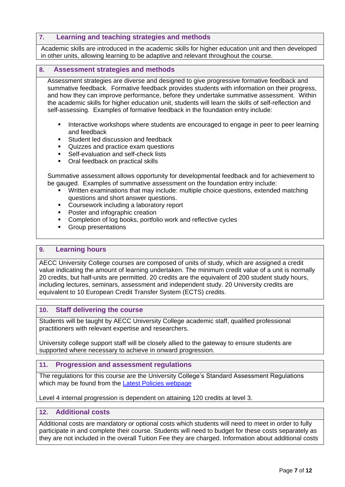#### **7. Learning and teaching strategies and methods**

Academic skills are introduced in the academic skills for higher education unit and then developed in other units, allowing learning to be adaptive and relevant throughout the course.

#### <span id="page-6-0"></span>**8. Assessment strategies and methods**

Assessment strategies are diverse and designed to give progressive formative feedback and summative feedback. Formative feedback provides students with information on their progress, and how they can improve performance, before they undertake summative assessment. Within the academic skills for higher education unit, students will learn the skills of self-reflection and self-assessing. Examples of formative feedback in the foundation entry include:

- Interactive workshops where students are encouraged to engage in peer to peer learning and feedback
- Student led discussion and feedback
- Quizzes and practice exam questions
- **Self-evaluation and self-check lists**
- Oral feedback on practical skills

Summative assessment allows opportunity for developmental feedback and for achievement to be gauged. Examples of summative assessment on the foundation entry include:

- Written examinations that may include: multiple choice questions, extended matching questions and short answer questions.
- **EXECOURSERVIER INCLUDING A Laboratory report**
- Poster and infographic creation
- **EXECOMPLERIATE:** Completion of log books, portfolio work and reflective cycles
- **Group presentations**

#### <span id="page-6-1"></span>**9. Learning hours**

AECC University College courses are composed of units of study, which are assigned a credit value indicating the amount of learning undertaken. The minimum credit value of a unit is normally 20 credits, but half-units are permitted. 20 credits are the equivalent of 200 student study hours, including lectures, seminars, assessment and independent study. 20 University credits are equivalent to 10 European Credit Transfer System (ECTS) credits.

#### <span id="page-6-2"></span>**10. Staff delivering the course**

Students will be taught by AECC University College academic staff, qualified professional practitioners with relevant expertise and researchers.

University college support staff will be closely allied to the gateway to ensure students are supported where necessary to achieve in onward progression.

#### <span id="page-6-3"></span>**11. Progression and assessment regulations**

The regulations for this course are the University College's Standard Assessment Regulations which may be found from the [Latest Policies webpage](https://www.aecc.ac.uk/about/how-we-work/latest-policies/)

Level 4 internal progression is dependent on attaining 120 credits at level 3.

#### <span id="page-6-4"></span>**12. Additional costs**

Additional costs are mandatory or optional costs which students will need to meet in order to fully participate in and complete their course. Students will need to budget for these costs separately as they are not included in the overall Tuition Fee they are charged. Information about additional costs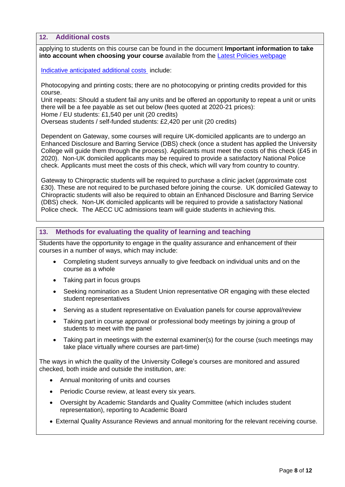**12. Additional costs**

applying to students on this course can be found in the document **Important information to take into account when choosing your course** available from the [Latest Policies webpage](https://www.aecc.ac.uk/about/how-we-work/latest-policies/)

Indicative anticipated additional costs include:

Photocopying and printing costs; there are no photocopying or printing credits provided for this course.

Unit repeats: Should a student fail any units and be offered an opportunity to repeat a unit or units there will be a fee payable as set out below (fees quoted at 2020-21 prices):

Home / EU students: £1,540 per unit (20 credits)

Overseas students / self-funded students: £2,420 per unit (20 credits)

Dependent on Gateway, some courses will require UK-domiciled applicants are to undergo an Enhanced Disclosure and Barring Service (DBS) check (once a student has applied the University College will guide them through the process). Applicants must meet the costs of this check (£45 in 2020). Non-UK domiciled applicants may be required to provide a satisfactory National Police check. Applicants must meet the costs of this check, which will vary from country to country.

Gateway to Chiropractic students will be required to purchase a clinic jacket (approximate cost £30). These are not required to be purchased before joining the course. UK domiciled Gateway to Chiropractic students will also be required to obtain an Enhanced Disclosure and Barring Service (DBS) check. Non-UK domiciled applicants will be required to provide a satisfactory National Police check. The AECC UC admissions team will guide students in achieving this.

#### <span id="page-7-0"></span>**13. Methods for evaluating the quality of learning and teaching**

Students have the opportunity to engage in the quality assurance and enhancement of their courses in a number of ways, which may include:

- Completing student surveys annually to give feedback on individual units and on the course as a whole
- Taking part in focus groups
- Seeking nomination as a Student Union representative OR engaging with these elected student representatives
- Serving as a student representative on Evaluation panels for course approval/review
- Taking part in course approval or professional body meetings by joining a group of students to meet with the panel
- Taking part in meetings with the external examiner(s) for the course (such meetings may take place virtually where courses are part-time)

The ways in which the quality of the University College's courses are monitored and assured checked, both inside and outside the institution, are:

- Annual monitoring of units and courses
- Periodic Course review, at least every six years.
- Oversight by Academic Standards and Quality Committee (which includes student representation), reporting to Academic Board
- External Quality Assurance Reviews and annual monitoring for the relevant receiving course.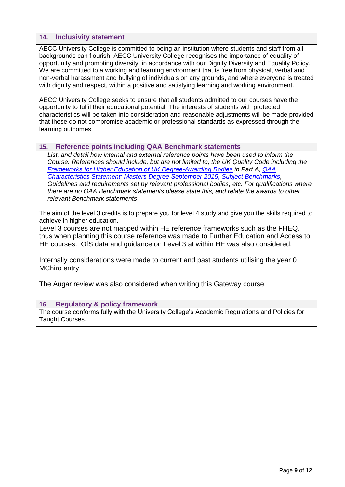#### <span id="page-8-0"></span>**14. Inclusivity statement**

AECC University College is committed to being an institution where students and staff from all backgrounds can flourish. AECC University College recognises the importance of equality of opportunity and promoting diversity, in accordance with our Dignity Diversity and Equality Policy. We are committed to a working and learning environment that is free from physical, verbal and non-verbal harassment and bullying of individuals on any grounds, and where everyone is treated with dignity and respect, within a positive and satisfying learning and working environment.

AECC University College seeks to ensure that all students admitted to our courses have the opportunity to fulfil their educational potential. The interests of students with protected characteristics will be taken into consideration and reasonable adjustments will be made provided that these do not compromise academic or professional standards as expressed through the learning outcomes.

#### <span id="page-8-1"></span>**15. Reference points including QAA Benchmark statements**

*List, and detail how internal and external reference points have been used to inform the Course. References should include, but are not limited to, the UK Quality Code including the [Frameworks for Higher Education of UK Degree-Awarding](http://www.qaa.ac.uk/publications/information-and-guidance/publication?PubID=2843#.VzMdFZhwaUk) Bodies in Part A, [QAA](http://www.qaa.ac.uk/en/Publications/Documents/Masters-Degree-Characteristics-15.pdf)  Characteristics [Statement: Masters Degree September 2015,](http://www.qaa.ac.uk/en/Publications/Documents/Masters-Degree-Characteristics-15.pdf) [Subject Benchmarks,](http://www.qaa.ac.uk/assuring-standards-and-quality/the-quality-code/subject-benchmark-statements) Guidelines and requirements set by relevant professional bodies, etc. For qualifications where there are no QAA Benchmark statements please state this, and relate the awards to other relevant Benchmark statements*

The aim of the level 3 credits is to prepare you for level 4 study and give you the skills required to achieve in higher education.

Level 3 courses are not mapped within HE reference frameworks such as the FHEQ, thus when planning this course reference was made to Further Education and Access to HE courses. OfS data and guidance on Level 3 at within HE was also considered.

Internally considerations were made to current and past students utilising the year 0 MChiro entry.

The Augar review was also considered when writing this Gateway course.

#### <span id="page-8-2"></span>**16. Regulatory & policy framework**

The course conforms fully with the University College's Academic Regulations and Policies for Taught Courses.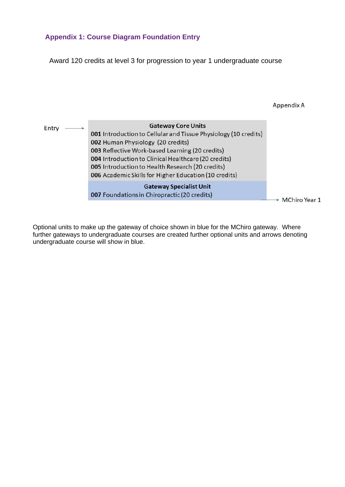### <span id="page-9-0"></span>**Appendix 1: Course Diagram Foundation Entry**

Award 120 credits at level 3 for progression to year 1 undergraduate course



Optional units to make up the gateway of choice shown in blue for the MChiro gateway. Where further gateways to undergraduate courses are created further optional units and arrows denoting undergraduate course will show in blue.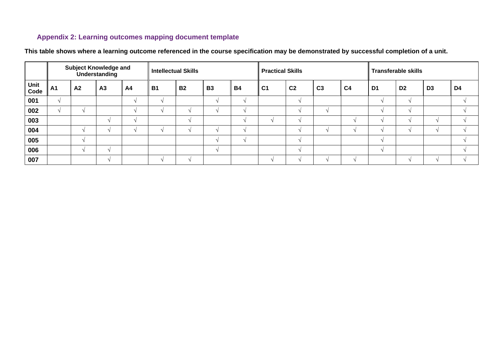## **Appendix 2: Learning outcomes mapping document template**

<span id="page-10-0"></span>

|                      |            |                    | <b>Subject Knowledge and</b><br>Understanding |                          | <b>Intellectual Skills</b> |           |           |           | <b>Practical Skills</b> |                          |                          |                | <b>Transferable skills</b> |                |                |    |
|----------------------|------------|--------------------|-----------------------------------------------|--------------------------|----------------------------|-----------|-----------|-----------|-------------------------|--------------------------|--------------------------|----------------|----------------------------|----------------|----------------|----|
| <b>Unit<br/>Code</b> | <b>A1</b>  | A <sub>2</sub>     | A <sub>3</sub>                                | A <sub>4</sub>           | <b>B1</b>                  | <b>B2</b> | <b>B3</b> | <b>B4</b> | C <sub>1</sub>          | C <sub>2</sub>           | C <sub>3</sub>           | C <sub>4</sub> | D <sub>1</sub>             | D <sub>2</sub> | D <sub>3</sub> | D4 |
| 001                  | $\Delta l$ |                    |                                               |                          |                            |           |           |           |                         |                          |                          |                |                            |                |                |    |
| 002                  | $\Delta$   | $\triangleleft$    |                                               |                          |                            |           |           |           |                         |                          | $\triangleleft$          |                |                            |                |                |    |
| 003                  |            |                    |                                               | $\overline{\phantom{a}}$ |                            |           |           |           |                         | $\overline{\phantom{a}}$ |                          |                |                            |                |                |    |
| 004                  |            | $\sim$             |                                               |                          |                            |           |           |           |                         |                          | $\overline{\phantom{a}}$ |                |                            |                |                |    |
| 005                  |            | $\mathbf{\Lambda}$ |                                               |                          |                            |           |           |           |                         |                          |                          |                |                            |                |                |    |
| 006                  |            | $\sim$             |                                               |                          |                            |           |           |           |                         | $\triangleleft$          |                          |                |                            |                |                |    |
| 007                  |            |                    |                                               |                          |                            |           |           |           |                         |                          | $\triangleleft$          |                |                            |                |                |    |

**This table shows where a learning outcome referenced in the course specification may be demonstrated by successful completion of a unit.**